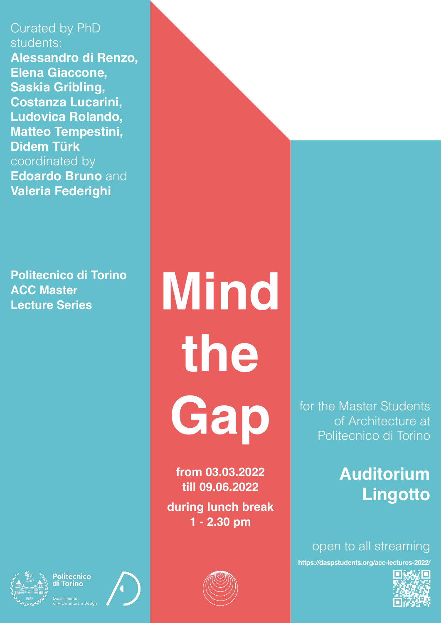Curated by PhD students: **Alessandro di Renzo, Elena Giaccone, Saskia Gribling, Costanza Lucarini, Ludovica Rolando, Matteo Tempestini, Didem Türk**  coordinated by **Edoardo Bruno** and **Valeria Federighi**

**Politecnico di Torino ACC Master Lecture Series**

**Mind the Gap**

**from 03.03.2022 till 09.06.2022 during lunch break 1 - 2.30 pm**



for the Master Students of Architecture at Politecnico di Torino

## **Auditorium Lingotto**

open to all streaming

**https://daspstudents.org/acc-lectures-2022/**





olitecnico